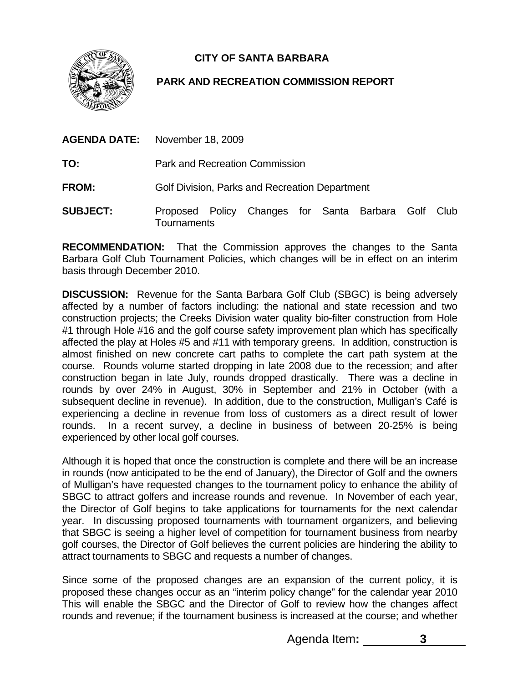**CITY OF SANTA BARBARA** 



## **PARK AND RECREATION COMMISSION REPORT**

- **AGENDA DATE:** November 18, 2009
- **TO:** Park and Recreation Commission
- **FROM:** Golf Division, Parks and Recreation Department
- **SUBJECT:** Proposed Policy Changes for Santa Barbara Golf Club **Tournaments**

**RECOMMENDATION:** That the Commission approves the changes to the Santa Barbara Golf Club Tournament Policies, which changes will be in effect on an interim basis through December 2010.

**DISCUSSION:** Revenue for the Santa Barbara Golf Club (SBGC) is being adversely affected by a number of factors including: the national and state recession and two construction projects; the Creeks Division water quality bio-filter construction from Hole #1 through Hole #16 and the golf course safety improvement plan which has specifically affected the play at Holes #5 and #11 with temporary greens. In addition, construction is almost finished on new concrete cart paths to complete the cart path system at the course. Rounds volume started dropping in late 2008 due to the recession; and after construction began in late July, rounds dropped drastically. There was a decline in rounds by over 24% in August, 30% in September and 21% in October (with a subsequent decline in revenue). In addition, due to the construction, Mulligan's Café is experiencing a decline in revenue from loss of customers as a direct result of lower rounds. In a recent survey, a decline in business of between 20-25% is being experienced by other local golf courses.

Although it is hoped that once the construction is complete and there will be an increase in rounds (now anticipated to be the end of January), the Director of Golf and the owners of Mulligan's have requested changes to the tournament policy to enhance the ability of SBGC to attract golfers and increase rounds and revenue. In November of each year, the Director of Golf begins to take applications for tournaments for the next calendar year. In discussing proposed tournaments with tournament organizers, and believing that SBGC is seeing a higher level of competition for tournament business from nearby golf courses, the Director of Golf believes the current policies are hindering the ability to attract tournaments to SBGC and requests a number of changes.

Since some of the proposed changes are an expansion of the current policy, it is proposed these changes occur as an "interim policy change" for the calendar year 2010 This will enable the SBGC and the Director of Golf to review how the changes affect rounds and revenue; if the tournament business is increased at the course; and whether

Agenda Item**: 3**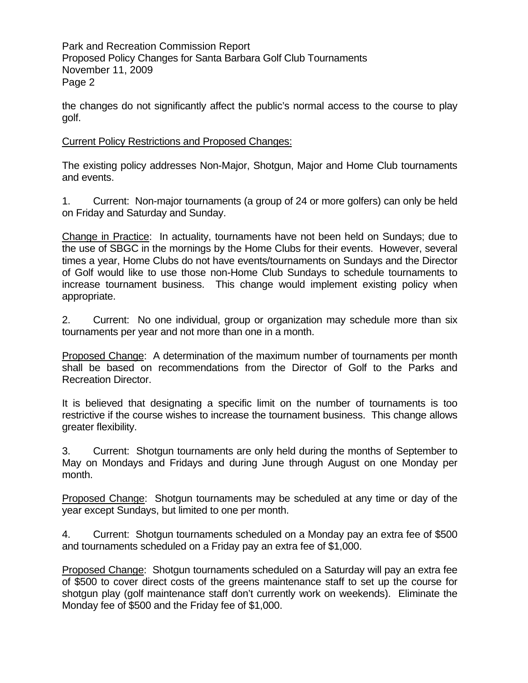Park and Recreation Commission Report Proposed Policy Changes for Santa Barbara Golf Club Tournaments November 11, 2009 Page 2

the changes do not significantly affect the public's normal access to the course to play golf.

## Current Policy Restrictions and Proposed Changes:

The existing policy addresses Non-Major, Shotgun, Major and Home Club tournaments and events.

1. Current: Non-major tournaments (a group of 24 or more golfers) can only be held on Friday and Saturday and Sunday.

Change in Practice: In actuality, tournaments have not been held on Sundays; due to the use of SBGC in the mornings by the Home Clubs for their events. However, several times a year, Home Clubs do not have events/tournaments on Sundays and the Director of Golf would like to use those non-Home Club Sundays to schedule tournaments to increase tournament business. This change would implement existing policy when appropriate.

2. Current: No one individual, group or organization may schedule more than six tournaments per year and not more than one in a month.

Proposed Change: A determination of the maximum number of tournaments per month shall be based on recommendations from the Director of Golf to the Parks and Recreation Director.

It is believed that designating a specific limit on the number of tournaments is too restrictive if the course wishes to increase the tournament business. This change allows greater flexibility.

3. Current: Shotgun tournaments are only held during the months of September to May on Mondays and Fridays and during June through August on one Monday per month.

Proposed Change: Shotgun tournaments may be scheduled at any time or day of the year except Sundays, but limited to one per month.

4. Current: Shotgun tournaments scheduled on a Monday pay an extra fee of \$500 and tournaments scheduled on a Friday pay an extra fee of \$1,000.

Proposed Change: Shotgun tournaments scheduled on a Saturday will pay an extra fee of \$500 to cover direct costs of the greens maintenance staff to set up the course for shotgun play (golf maintenance staff don't currently work on weekends). Eliminate the Monday fee of \$500 and the Friday fee of \$1,000.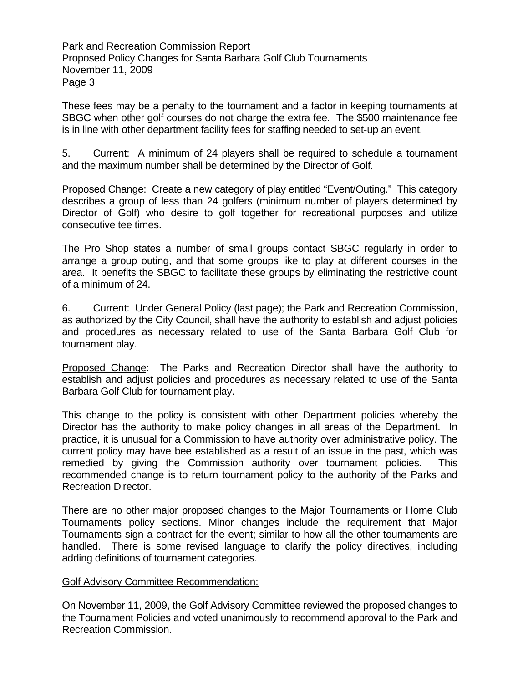Park and Recreation Commission Report Proposed Policy Changes for Santa Barbara Golf Club Tournaments November 11, 2009 Page 3

These fees may be a penalty to the tournament and a factor in keeping tournaments at SBGC when other golf courses do not charge the extra fee. The \$500 maintenance fee is in line with other department facility fees for staffing needed to set-up an event.

5. Current: A minimum of 24 players shall be required to schedule a tournament and the maximum number shall be determined by the Director of Golf.

Proposed Change: Create a new category of play entitled "Event/Outing." This category describes a group of less than 24 golfers (minimum number of players determined by Director of Golf) who desire to golf together for recreational purposes and utilize consecutive tee times.

The Pro Shop states a number of small groups contact SBGC regularly in order to arrange a group outing, and that some groups like to play at different courses in the area. It benefits the SBGC to facilitate these groups by eliminating the restrictive count of a minimum of 24.

6. Current: Under General Policy (last page); the Park and Recreation Commission, as authorized by the City Council, shall have the authority to establish and adjust policies and procedures as necessary related to use of the Santa Barbara Golf Club for tournament play.

Proposed Change: The Parks and Recreation Director shall have the authority to establish and adjust policies and procedures as necessary related to use of the Santa Barbara Golf Club for tournament play.

This change to the policy is consistent with other Department policies whereby the Director has the authority to make policy changes in all areas of the Department. In practice, it is unusual for a Commission to have authority over administrative policy. The current policy may have bee established as a result of an issue in the past, which was remedied by giving the Commission authority over tournament policies. This recommended change is to return tournament policy to the authority of the Parks and Recreation Director.

There are no other major proposed changes to the Major Tournaments or Home Club Tournaments policy sections. Minor changes include the requirement that Major Tournaments sign a contract for the event; similar to how all the other tournaments are handled. There is some revised language to clarify the policy directives, including adding definitions of tournament categories.

## Golf Advisory Committee Recommendation:

On November 11, 2009, the Golf Advisory Committee reviewed the proposed changes to the Tournament Policies and voted unanimously to recommend approval to the Park and Recreation Commission.